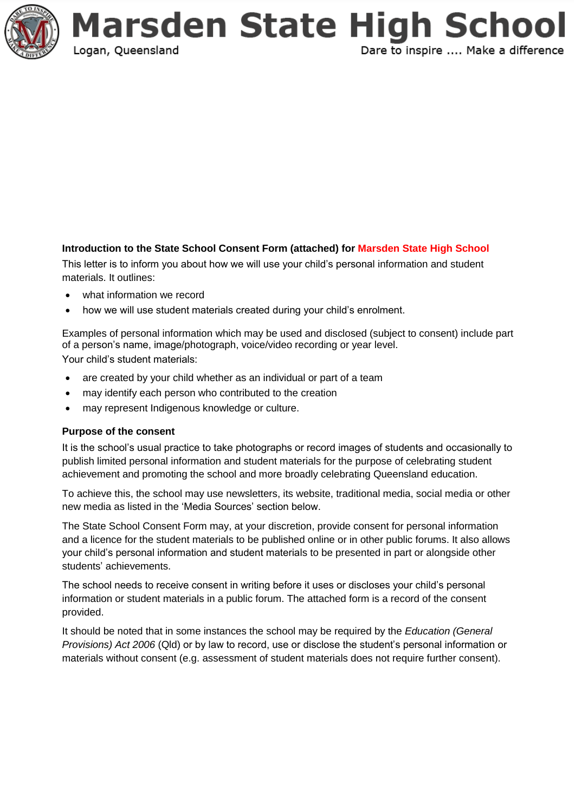

### **Introduction to the State School Consent Form (attached) for Marsden State High School**

This letter is to inform you about how we will use your child's personal information and student materials. It outlines:

- what information we record
- how we will use student materials created during your child's enrolment.

Examples of personal information which may be used and disclosed (subject to consent) include part of a person's name, image/photograph, voice/video recording or year level. Your child's student materials:

- are created by your child whether as an individual or part of a team
- may identify each person who contributed to the creation
- may represent Indigenous knowledge or culture.

#### **Purpose of the consent**

It is the school's usual practice to take photographs or record images of students and occasionally to publish limited personal information and student materials for the purpose of celebrating student achievement and promoting the school and more broadly celebrating Queensland education.

To achieve this, the school may use newsletters, its website, traditional media, social media or other new media as listed in the 'Media Sources' section below.

The State School Consent Form may, at your discretion, provide consent for personal information and a licence for the student materials to be published online or in other public forums. It also allows your child's personal information and student materials to be presented in part or alongside other students' achievements.

The school needs to receive consent in writing before it uses or discloses your child's personal information or student materials in a public forum. The attached form is a record of the consent provided.

It should be noted that in some instances the school may be required by the *Education (General Provisions) Act 2006* (Qld) or by law to record, use or disclose the student's personal information or materials without consent (e.g. assessment of student materials does not require further consent).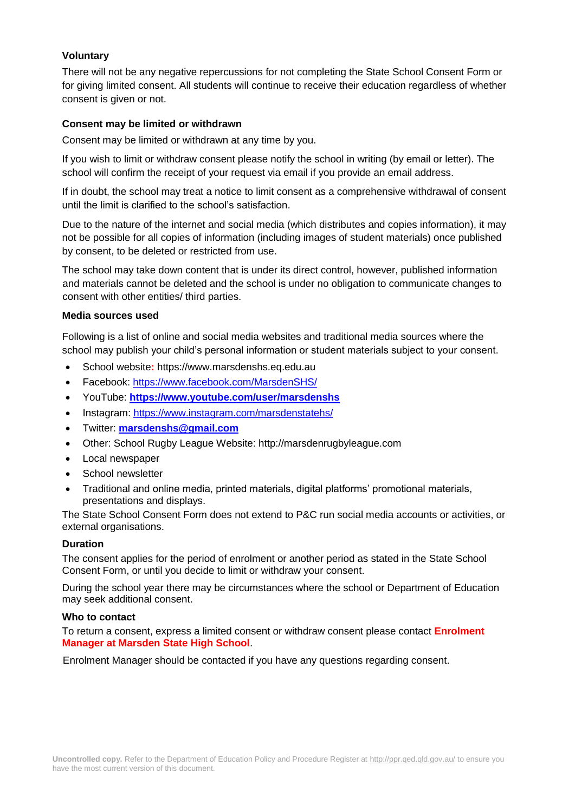### **Voluntary**

There will not be any negative repercussions for not completing the State School Consent Form or for giving limited consent. All students will continue to receive their education regardless of whether consent is given or not.

#### **Consent may be limited or withdrawn**

Consent may be limited or withdrawn at any time by you.

If you wish to limit or withdraw consent please notify the school in writing (by email or letter). The school will confirm the receipt of your request via email if you provide an email address.

If in doubt, the school may treat a notice to limit consent as a comprehensive withdrawal of consent until the limit is clarified to the school's satisfaction.

Due to the nature of the internet and social media (which distributes and copies information), it may not be possible for all copies of information (including images of student materials) once published by consent, to be deleted or restricted from use.

The school may take down content that is under its direct control, however, published information and materials cannot be deleted and the school is under no obligation to communicate changes to consent with other entities/ third parties.

#### **Media sources used**

Following is a list of online and social media websites and traditional media sources where the school may publish your child's personal information or student materials subject to your consent.

- School website**:** https://www.marsdenshs.eq.edu.au
- Facebook: <https://www.facebook.com/MarsdenSHS/>
- YouTube: **<https://www.youtube.com/user/marsdenshs>**
- Instagram:<https://www.instagram.com/marsdenstatehs/>
- Twitter: **[marsdenshs@gmail.com](mailto:marsdenshs@gmail.com)**
- Other: School Rugby League Website: http://marsdenrugbyleague.com
- Local newspaper
- School newsletter
- Traditional and online media, printed materials, digital platforms' promotional materials, presentations and displays.

The State School Consent Form does not extend to P&C run social media accounts or activities, or external organisations.

#### **Duration**

The consent applies for the period of enrolment or another period as stated in the State School Consent Form, or until you decide to limit or withdraw your consent.

During the school year there may be circumstances where the school or Department of Education may seek additional consent.

#### **Who to contact**

To return a consent, express a limited consent or withdraw consent please contact **Enrolment Manager at Marsden State High School**.

Enrolment Manager should be contacted if you have any questions regarding consent.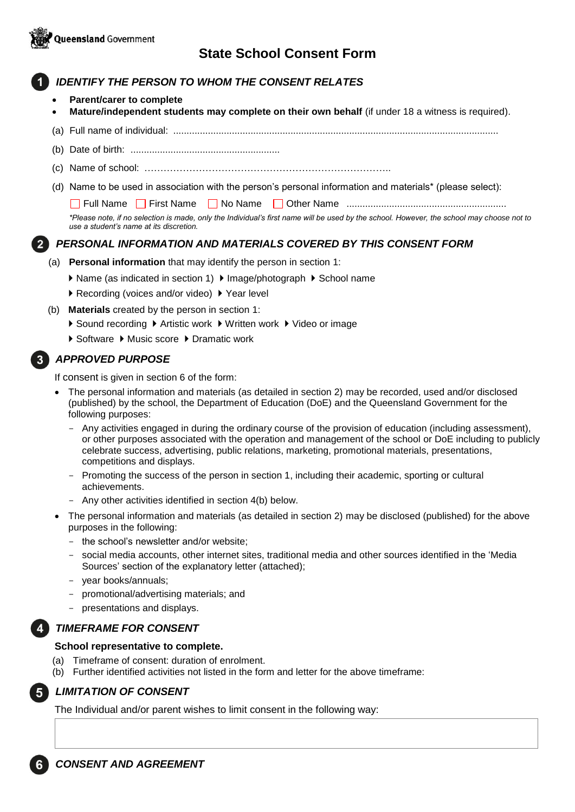

# **State School Consent Form**

# *IDENTIFY THE PERSON TO WHOM THE CONSENT RELATES*

- **Parent/carer to complete**
- **Mature/independent students may complete on their own behalf** (if under 18 a witness is required).
- (a) Full name of individual: ..........................................................................................................................
- (b) Date of birth: ........................................................
- (c) Name of school: …………………………………………………………………..
- (d) Name to be used in association with the person's personal information and materials\* (please select):

Full Name First Name No Name Other Name ............................................................

*\*Please note, if no selection is made, only the Individual's first name will be used by the school. However, the school may choose not to use a student's name at its discretion.*

# *PERSONAL INFORMATION AND MATERIALS COVERED BY THIS CONSENT FORM*

- (a) **Personal information** that may identify the person in section 1:
	- ▶ Name (as indicated in section 1) ▶ Image/photograph ▶ School name
	- ▶ Recording (voices and/or video) ▶ Year level
- (b) **Materials** created by the person in section 1:
	- ▶ Sound recording ▶ Artistic work ▶ Written work ▶ Video or image
	- ▶ Software ▶ Music score ▶ Dramatic work

# *APPROVED PURPOSE*

If consent is given in section 6 of the form:

- The personal information and materials (as detailed in section 2) may be recorded, used and/or disclosed (published) by the school, the Department of Education (DoE) and the Queensland Government for the following purposes:
	- Any activities engaged in during the ordinary course of the provision of education (including assessment), or other purposes associated with the operation and management of the school or DoE including to publicly celebrate success, advertising, public relations, marketing, promotional materials, presentations, competitions and displays.
	- Promoting the success of the person in section 1, including their academic, sporting or cultural achievements.
	- Any other activities identified in section 4(b) below.
- The personal information and materials (as detailed in section 2) may be disclosed (published) for the above purposes in the following:
	- the school's newsletter and/or website;
	- social media accounts, other internet sites, traditional media and other sources identified in the 'Media Sources' section of the explanatory letter (attached);
	- year books/annuals;
	- promotional/advertising materials; and
	- presentations and displays.

### *TIMEFRAME FOR CONSENT*

#### **School representative to complete.**

- (a) Timeframe of consent: duration of enrolment.
- (b) Further identified activities not listed in the form and letter for the above timeframe:

# *LIMITATION OF CONSENT*

The Individual and/or parent wishes to limit consent in the following way: